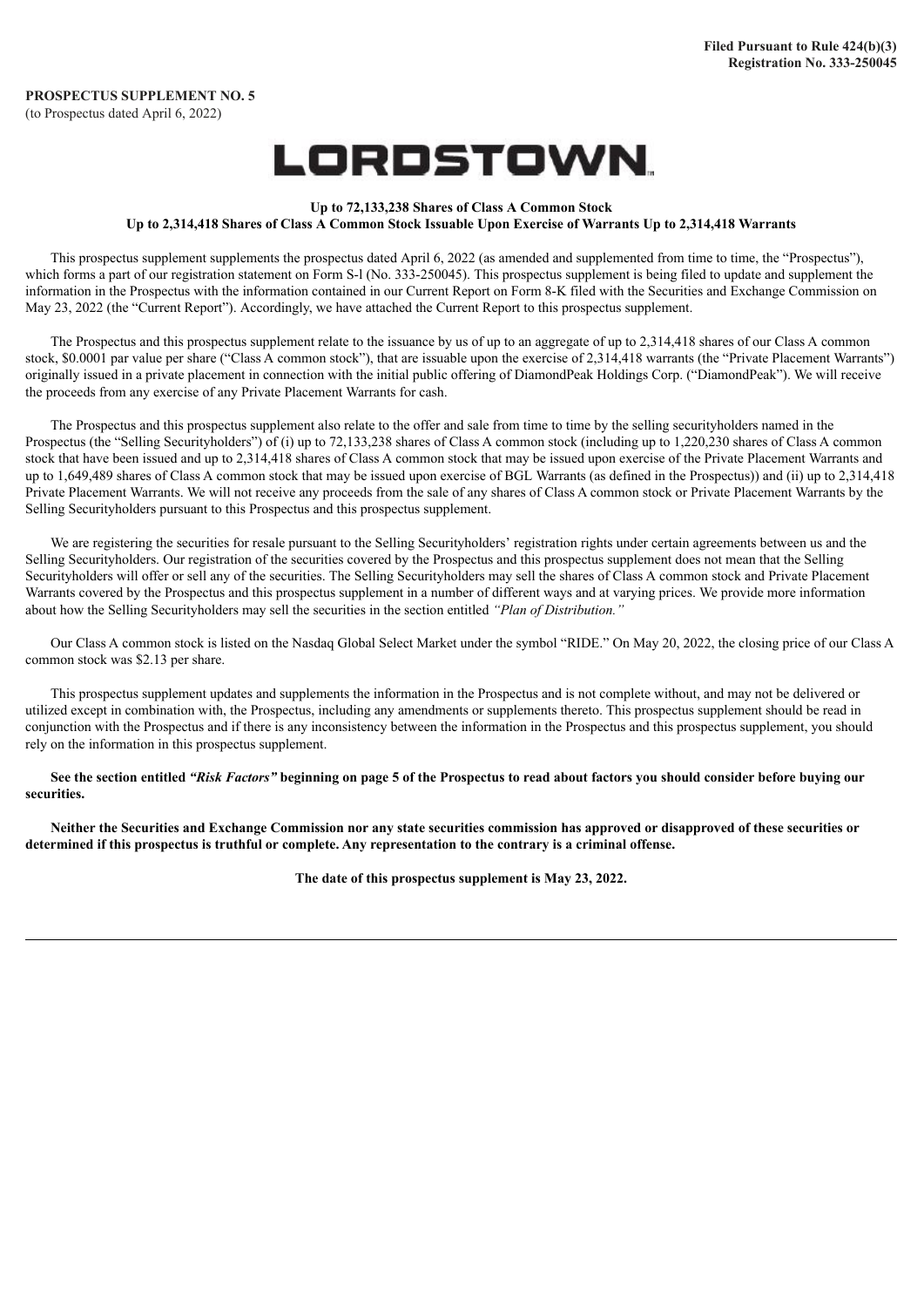# LORDSTOWN.

#### **Up to 72,133,238 Shares of Class A Common Stock** Up to 2,314,418 Shares of Class A Common Stock Issuable Upon Exercise of Warrants Up to 2,314,418 Warrants

This prospectus supplement supplements the prospectus dated April 6, 2022 (as amended and supplemented from time to time, the "Prospectus"), which forms a part of our registration statement on Form S-I (No. 333-250045). This prospectus supplement is being filed to update and supplement the information in the Prospectus with the information contained in our Current Report on Form 8-K filed with the Securities and Exchange Commission on May 23, 2022 (the "Current Report"). Accordingly, we have attached the Current Report to this prospectus supplement.

The Prospectus and this prospectus supplement relate to the issuance by us of up to an aggregate of up to 2,314,418 shares of our Class A common stock, \$0.0001 par value per share ("Class A common stock"), that are issuable upon the exercise of 2,314,418 warrants (the "Private Placement Warrants") originally issued in a private placement in connection with the initial public offering of DiamondPeak Holdings Corp. ("DiamondPeak"). We will receive the proceeds from any exercise of any Private Placement Warrants for cash.

The Prospectus and this prospectus supplement also relate to the offer and sale from time to time by the selling securityholders named in the Prospectus (the "Selling Securityholders") of (i) up to 72,133,238 shares of Class A common stock (including up to 1,220,230 shares of Class A common stock that have been issued and up to 2,314,418 shares of Class A common stock that may be issued upon exercise of the Private Placement Warrants and up to 1,649,489 shares of Class A common stock that may be issued upon exercise of BGL Warrants (as defined in the Prospectus)) and (ii) up to 2,314,418 Private Placement Warrants. We will not receive any proceeds from the sale of any shares of Class A common stock or Private Placement Warrants by the Selling Securityholders pursuant to this Prospectus and this prospectus supplement.

We are registering the securities for resale pursuant to the Selling Securityholders' registration rights under certain agreements between us and the Selling Securityholders. Our registration of the securities covered by the Prospectus and this prospectus supplement does not mean that the Selling Securityholders will offer or sell any of the securities. The Selling Securityholders may sell the shares of Class A common stock and Private Placement Warrants covered by the Prospectus and this prospectus supplement in a number of different ways and at varying prices. We provide more information about how the Selling Securityholders may sell the securities in the section entitled *"Plan of Distribution."*

Our Class A common stock is listed on the Nasdaq Global Select Market under the symbol "RIDE." On May 20, 2022, the closing price of our Class A common stock was \$2.13 per share.

This prospectus supplement updates and supplements the information in the Prospectus and is not complete without, and may not be delivered or utilized except in combination with, the Prospectus, including any amendments or supplements thereto. This prospectus supplement should be read in conjunction with the Prospectus and if there is any inconsistency between the information in the Prospectus and this prospectus supplement, you should rely on the information in this prospectus supplement.

See the section entitled "Risk Factors" beginning on page 5 of the Prospectus to read about factors you should consider before buying our **securities.**

Neither the Securities and Exchange Commission nor any state securities commission has approved or disapproved of these securities or determined if this prospectus is truthful or complete. Any representation to the contrary is a criminal offense.

**The date of this prospectus supplement is May 23, 2022.**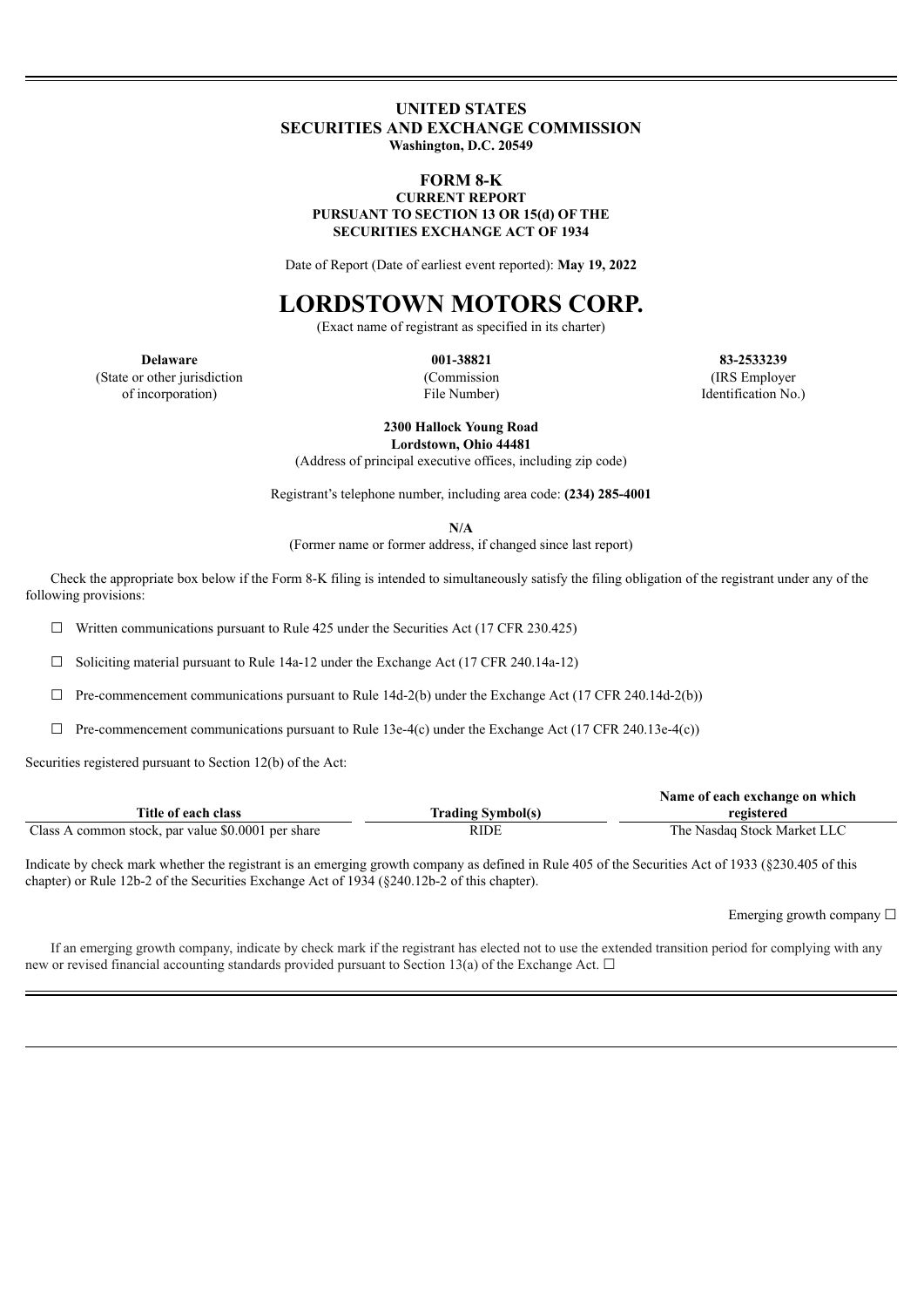## **UNITED STATES SECURITIES AND EXCHANGE COMMISSION Washington, D.C. 20549**

### **FORM 8-K CURRENT REPORT PURSUANT TO SECTION 13 OR 15(d) OF THE SECURITIES EXCHANGE ACT OF 1934**

Date of Report (Date of earliest event reported): **May 19, 2022**

# **LORDSTOWN MOTORS CORP.**

(Exact name of registrant as specified in its charter)

(State or other jurisdiction of incorporation)

(Commission File Number)

**Delaware 001-38821 83-2533239** (IRS Employer Identification No.)

> **2300 Hallock Young Road Lordstown, Ohio 44481**

(Address of principal executive offices, including zip code)

Registrant's telephone number, including area code: **(234) 285-4001**

**N/A**

(Former name or former address, if changed since last report)

Check the appropriate box below if the Form 8-K filing is intended to simultaneously satisfy the filing obligation of the registrant under any of the following provisions:

 $\Box$  Written communications pursuant to Rule 425 under the Securities Act (17 CFR 230.425)

 $\Box$  Soliciting material pursuant to Rule 14a-12 under the Exchange Act (17 CFR 240.14a-12)

 $\Box$  Pre-commencement communications pursuant to Rule 14d-2(b) under the Exchange Act (17 CFR 240.14d-2(b))

 $\Box$  Pre-commencement communications pursuant to Rule 13e-4(c) under the Exchange Act (17 CFR 240.13e-4(c))

Securities registered pursuant to Section 12(b) of the Act:

|                                                    |                          | Name of each exchange on which |
|----------------------------------------------------|--------------------------|--------------------------------|
| Title of each class                                | <b>Trading Symbol(s)</b> | registered                     |
| Class A common stock, par value \$0.0001 per share | <b>RIDE</b>              | The Nasdaq Stock Market LLC    |

Indicate by check mark whether the registrant is an emerging growth company as defined in Rule 405 of the Securities Act of 1933 (§230.405 of this chapter) or Rule 12b-2 of the Securities Exchange Act of 1934 (§240.12b-2 of this chapter).

Emerging growth company  $\Box$ 

If an emerging growth company, indicate by check mark if the registrant has elected not to use the extended transition period for complying with any new or revised financial accounting standards provided pursuant to Section 13(a) of the Exchange Act.  $\Box$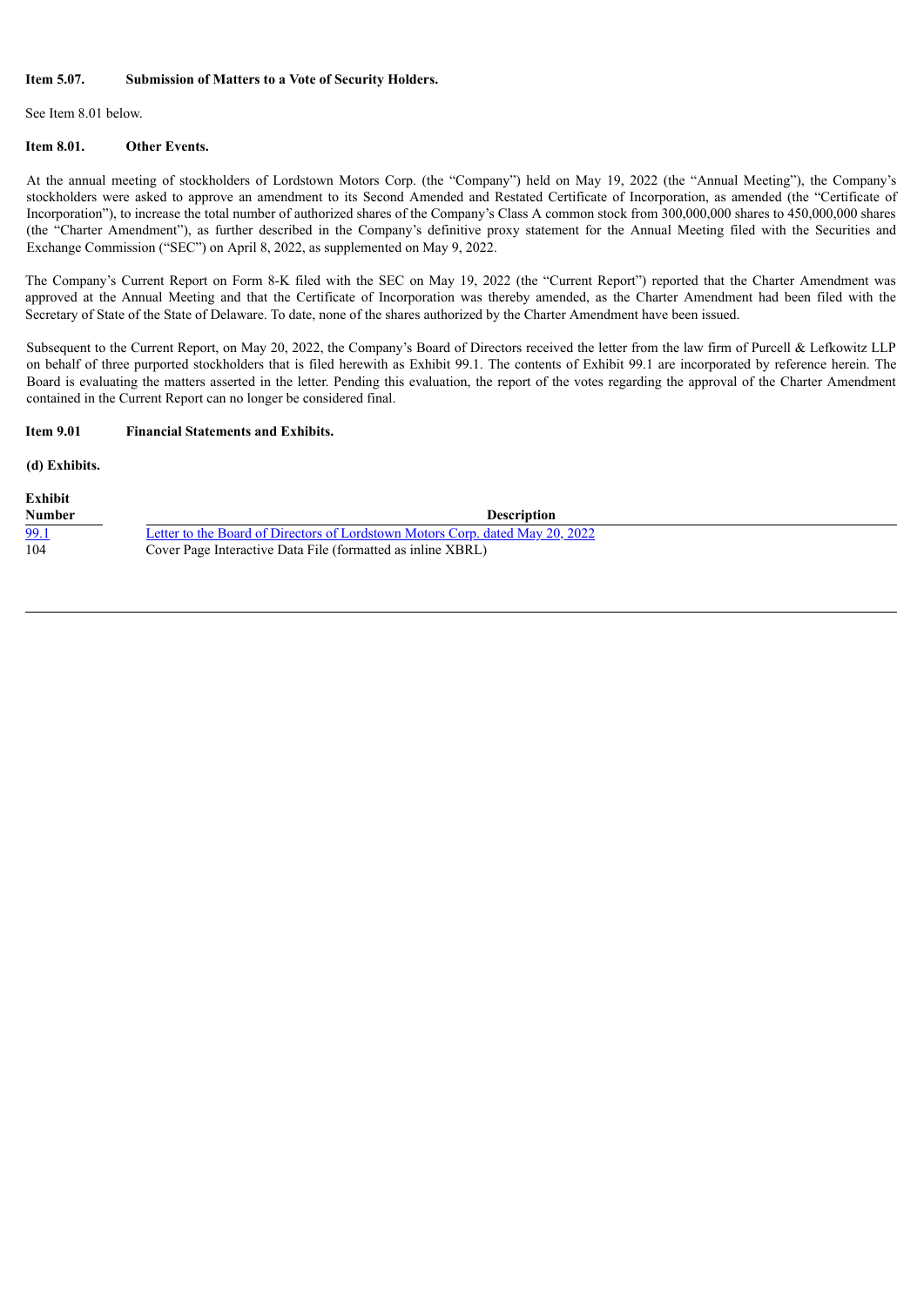## **Item 5.07. Submission of Matters to a Vote of Security Holders.**

See Item 8.01 below.

#### **Item 8.01. Other Events.**

At the annual meeting of stockholders of Lordstown Motors Corp. (the "Company") held on May 19, 2022 (the "Annual Meeting"), the Company's stockholders were asked to approve an amendment to its Second Amended and Restated Certificate of Incorporation, as amended (the "Certificate of Incorporation"), to increase the total number of authorized shares of the Company's Class A common stock from 300,000,000 shares to 450,000,000 shares (the "Charter Amendment"), as further described in the Company's definitive proxy statement for the Annual Meeting filed with the Securities and Exchange Commission ("SEC") on April 8, 2022, as supplemented on May 9, 2022.

The Company's Current Report on Form 8-K filed with the SEC on May 19, 2022 (the "Current Report") reported that the Charter Amendment was approved at the Annual Meeting and that the Certificate of Incorporation was thereby amended, as the Charter Amendment had been filed with the Secretary of State of the State of Delaware. To date, none of the shares authorized by the Charter Amendment have been issued.

Subsequent to the Current Report, on May 20, 2022, the Company's Board of Directors received the letter from the law firm of Purcell & Lefkowitz LLP on behalf of three purported stockholders that is filed herewith as Exhibit 99.1. The contents of Exhibit 99.1 are incorporated by reference herein. The Board is evaluating the matters asserted in the letter. Pending this evaluation, the report of the votes regarding the approval of the Charter Amendment contained in the Current Report can no longer be considered final.

### **Item 9.01 Financial Statements and Exhibits.**

**(d) Exhibits.**

| Exhibit     |                                                                               |
|-------------|-------------------------------------------------------------------------------|
| Number      | <b>Description</b>                                                            |
| <u>99.1</u> | Letter to the Board of Directors of Lordstown Motors Corp. dated May 20, 2022 |
| 104         | Cover Page Interactive Data File (formatted as inline XBRL)                   |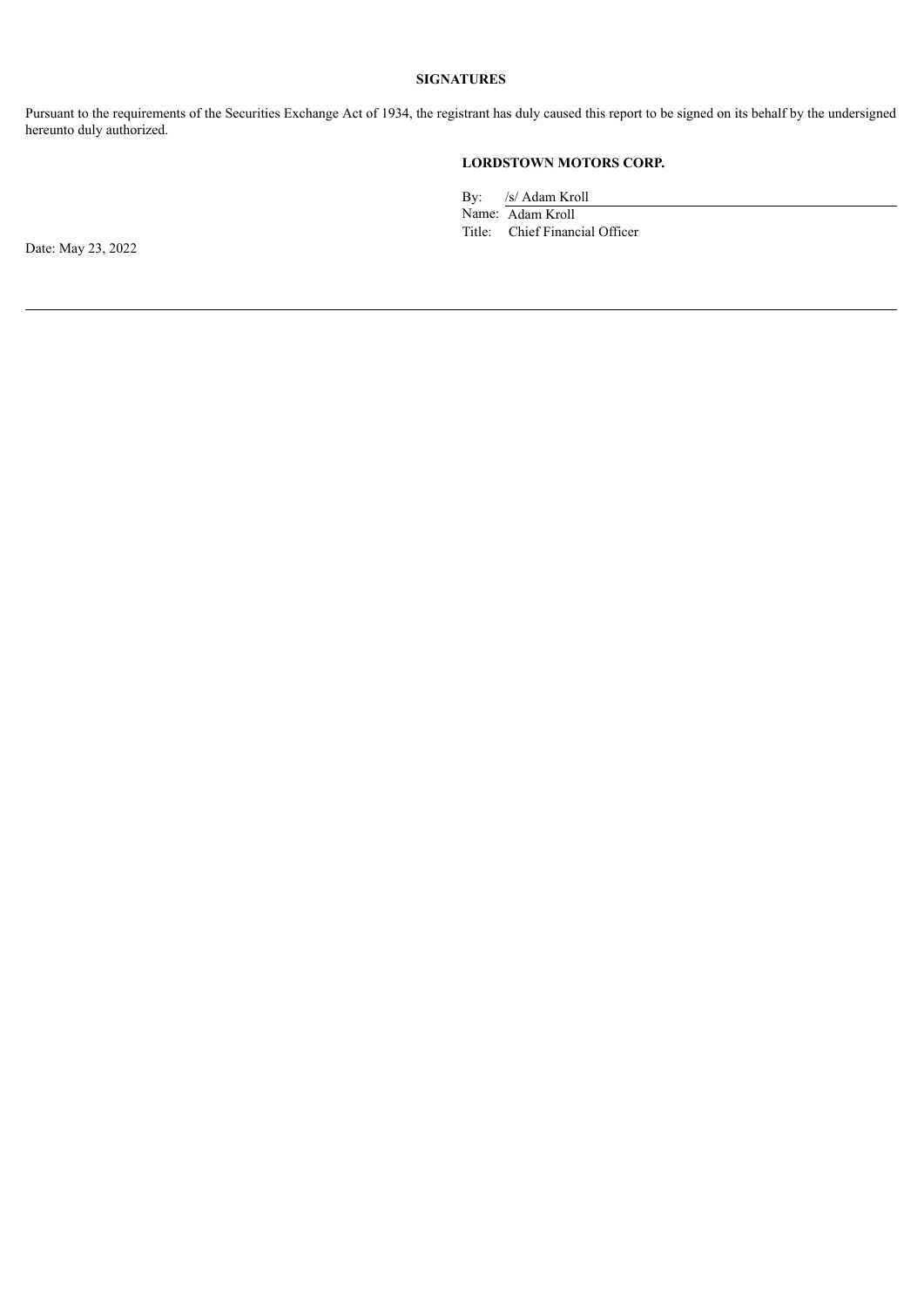# **SIGNATURES**

Pursuant to the requirements of the Securities Exchange Act of 1934, the registrant has duly caused this report to be signed on its behalf by the undersigned hereunto duly authorized.

# **LORDSTOWN MOTORS CORP.**

By: /s/ Adam Kroll

Name: Adam Kroll Title: Chief Financial Officer

Date: May 23, 2022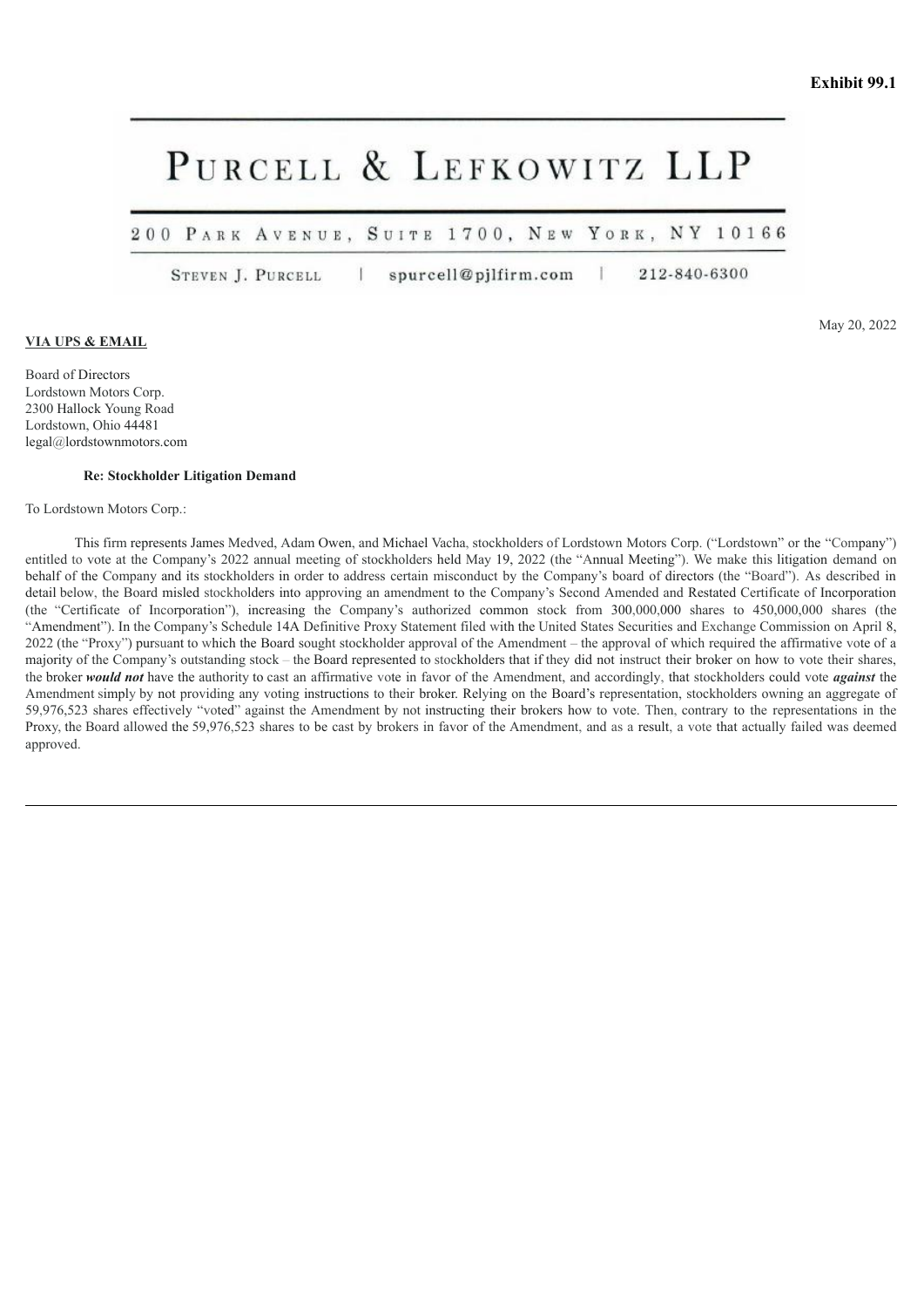# <span id="page-4-0"></span>PURCELL & LEFKOWITZ LLP

200 PARK AVENUE, SUITE 1700, NEW YORK, NY 10166

STEVEN J. PURCELL T spurcell@pjlfirm.com 212-840-6300

### **VIA UPS & EMAIL**

Board of Directors Lordstown Motors Corp. 2300 Hallock Young Road Lordstown, Ohio 44481 legal@lordstownmotors.com

#### **Re: Stockholder Litigation Demand**

To Lordstown Motors Corp.:

This firm represents James Medved, Adam Owen, and Michael Vacha, stockholders of Lordstown Motors Corp. ("Lordstown" or the "Company") entitled to vote at the Company's 2022 annual meeting of stockholders held May 19, 2022 (the "Annual Meeting"). We make this litigation demand on behalf of the Company and its stockholders in order to address certain misconduct by the Company's board of directors (the "Board"). As described in detail below, the Board misled stockholders into approving an amendment to the Company's Second Amended and Restated Certificate of Incorporation (the "Certificate of Incorporation"), increasing the Company's authorized common stock from 300,000,000 shares to 450,000,000 shares (the "Amendment"). In the Company's Schedule 14A Definitive Proxy Statement filed with the United States Securities and Exchange Commission on April 8, 2022 (the "Proxy") pursuant to which the Board sought stockholder approval of the Amendment – the approval of which required the affirmative vote of a majority of the Company's outstanding stock – the Board represented to stockholders that if they did not instruct their broker on how to vote their shares, the broker *would not* have the authority to cast an affirmative vote in favor of the Amendment, and accordingly, that stockholders could vote *against* the Amendment simply by not providing any voting instructions to their broker. Relying on the Board's representation, stockholders owning an aggregate of 59,976,523 shares effectively "voted" against the Amendment by not instructing their brokers how to vote. Then, contrary to the representations in the Proxy, the Board allowed the 59,976,523 shares to be cast by brokers in favor of the Amendment, and as a result, a vote that actually failed was deemed approved.

May 20, 2022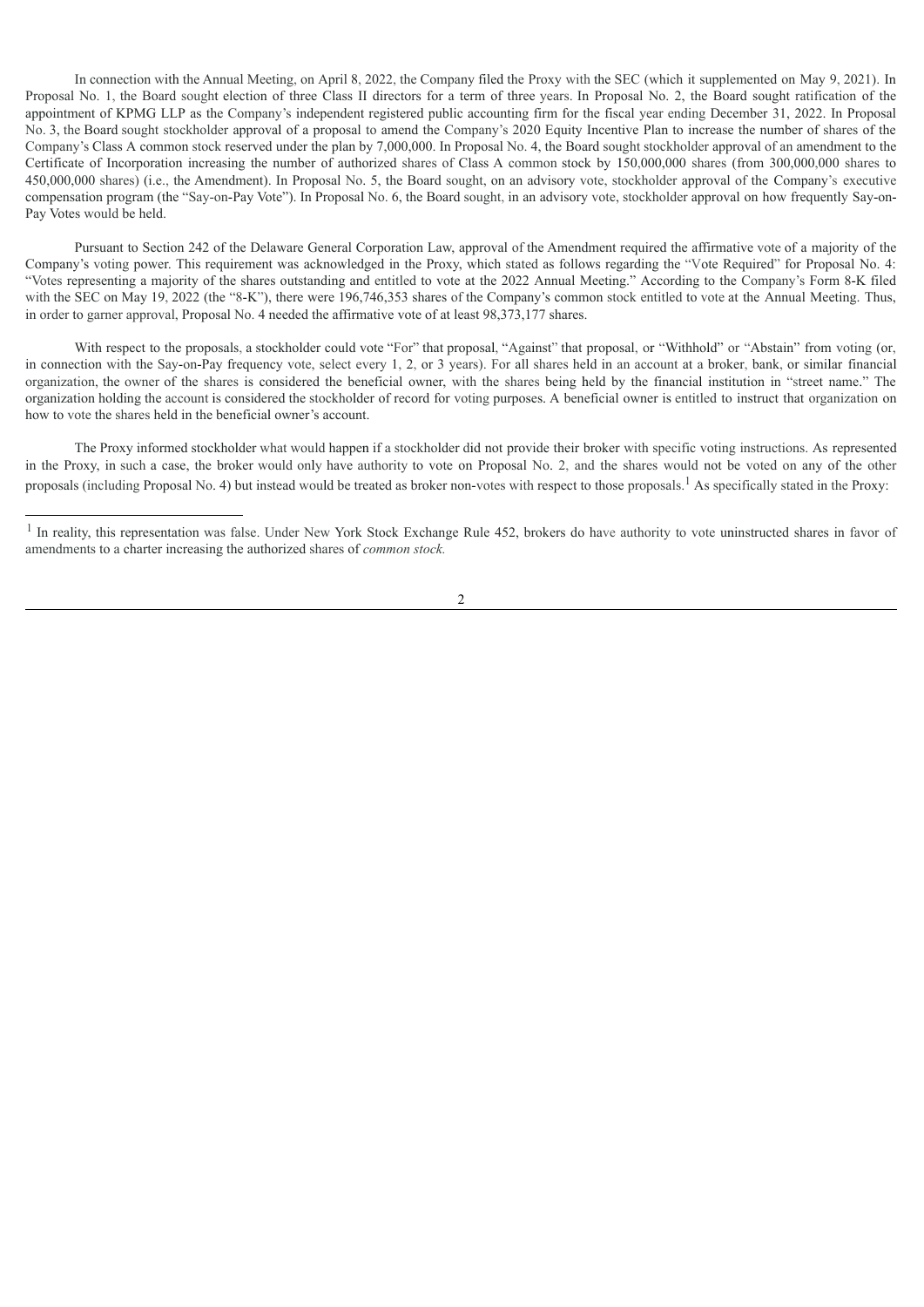In connection with the Annual Meeting, on April 8, 2022, the Company filed the Proxy with the SEC (which it supplemented on May 9, 2021). In Proposal No. 1, the Board sought election of three Class II directors for a term of three years. In Proposal No. 2, the Board sought ratification of the appointment of KPMG LLP as the Company's independent registered public accounting firm for the fiscal year ending December 31, 2022. In Proposal No. 3, the Board sought stockholder approval of a proposal to amend the Company's 2020 Equity Incentive Plan to increase the number of shares of the Company's Class A common stock reserved under the plan by 7,000,000. In Proposal No. 4, the Board sought stockholder approval of an amendment to the Certificate of Incorporation increasing the number of authorized shares of Class A common stock by 150,000,000 shares (from 300,000,000 shares to 450,000,000 shares) (i.e., the Amendment). In Proposal No. 5, the Board sought, on an advisory vote, stockholder approval of the Company's executive compensation program (the "Say-on-Pay Vote"). In Proposal No. 6, the Board sought, in an advisory vote, stockholder approval on how frequently Say-on-Pay Votes would be held.

Pursuant to Section 242 of the Delaware General Corporation Law, approval of the Amendment required the affirmative vote of a majority of the Company's voting power. This requirement was acknowledged in the Proxy, which stated as follows regarding the "Vote Required" for Proposal No. 4: "Votes representing a majority of the shares outstanding and entitled to vote at the 2022 Annual Meeting." According to the Company's Form 8-K filed with the SEC on May 19, 2022 (the "8-K"), there were 196,746,353 shares of the Company's common stock entitled to vote at the Annual Meeting. Thus, in order to garner approval, Proposal No. 4 needed the affirmative vote of at least 98,373,177 shares.

With respect to the proposals, a stockholder could vote "For" that proposal, "Against" that proposal, or "Withhold" or "Abstain" from voting (or, in connection with the Say-on-Pay frequency vote, select every 1, 2, or 3 years). For all shares held in an account at a broker, bank, or similar financial organization, the owner of the shares is considered the beneficial owner, with the shares being held by the financial institution in "street name." The organization holding the account is considered the stockholder of record for voting purposes. A beneficial owner is entitled to instruct that organization on how to vote the shares held in the beneficial owner's account.

The Proxy informed stockholder what would happen if a stockholder did not provide their broker with specific voting instructions. As represented in the Proxy, in such a case, the broker would only have authority to vote on Proposal No. 2, and the shares would not be voted on any of the other proposals (including Proposal No. 4) but instead would be treated as broker non-votes with respect to those proposals.<sup>1</sup> As specifically stated in the Proxy:

<sup>&</sup>lt;sup>1</sup> In reality, this representation was false. Under New York Stock Exchange Rule 452, brokers do have authority to vote uninstructed shares in favor of amendments to a charter increasing the authorized shares of *common stock.*

<sup>2</sup>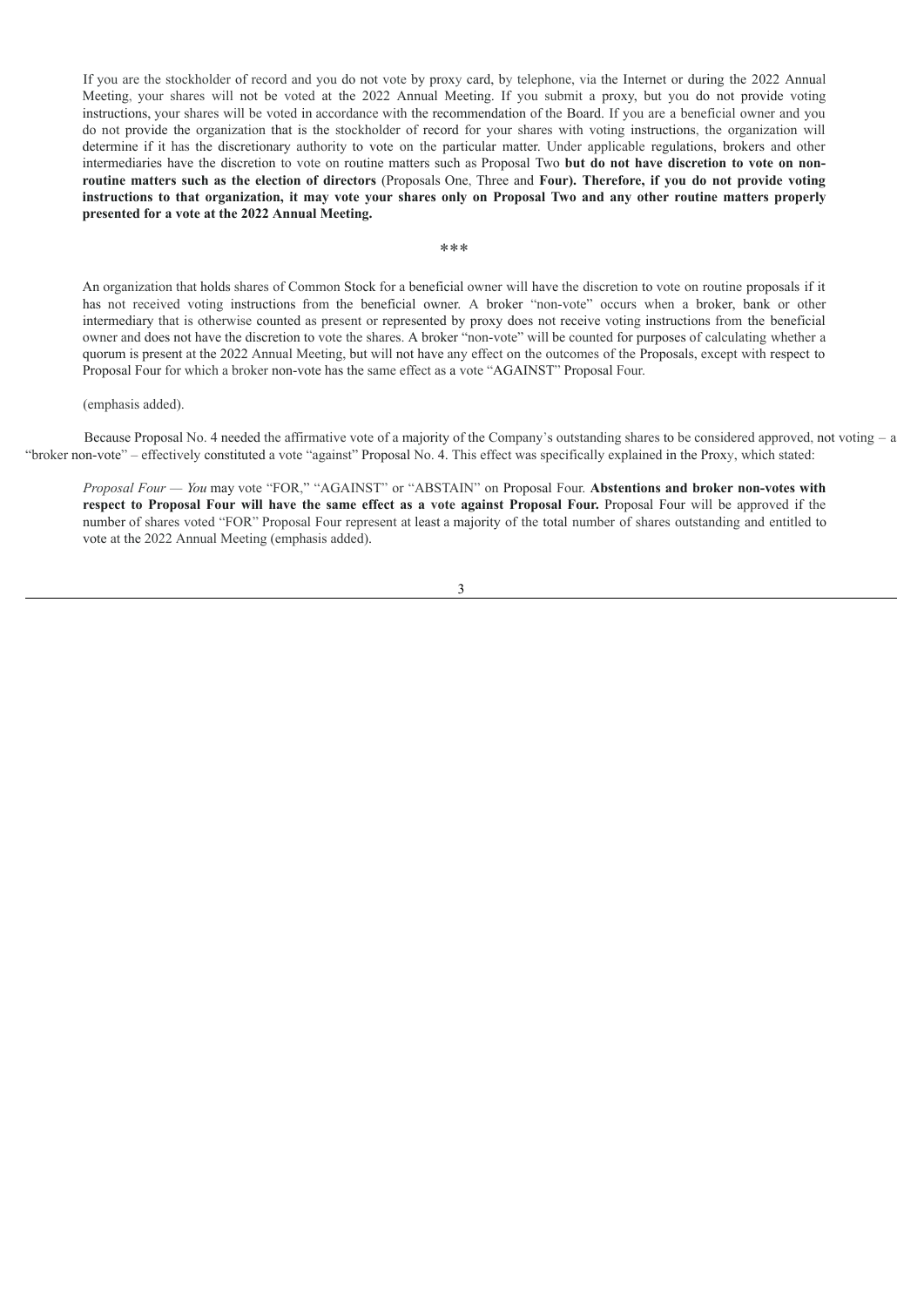If you are the stockholder of record and you do not vote by proxy card, by telephone, via the Internet or during the 2022 Annual Meeting, your shares will not be voted at the 2022 Annual Meeting. If you submit a proxy, but you do not provide voting instructions, your shares will be voted in accordance with the recommendation of the Board. If you are a beneficial owner and you do not provide the organization that is the stockholder of record for your shares with voting instructions, the organization will determine if it has the discretionary authority to vote on the particular matter. Under applicable regulations, brokers and other intermediaries have the discretion to vote on routine matters such as Proposal Two **but do not have discretion to vote on non**routine matters such as the election of directors (Proposals One, Three and Four). Therefore, if you do not provide voting instructions to that organization, it may vote your shares only on Proposal Two and any other routine matters properly **presented for a vote at the 2022 Annual Meeting.**

\*\*\*

An organization that holds shares of Common Stock for a beneficial owner will have the discretion to vote on routine proposals if it has not received voting instructions from the beneficial owner. A broker "non-vote" occurs when a broker, bank or other intermediary that is otherwise counted as present or represented by proxy does not receive voting instructions from the beneficial owner and does not have the discretion to vote the shares. A broker "non-vote" will be counted for purposes of calculating whether a quorum is present at the 2022 Annual Meeting, but will not have any effect on the outcomes of the Proposals, except with respect to Proposal Four for which a broker non-vote has the same effect as a vote "AGAINST" Proposal Four.

#### (emphasis added).

Because Proposal No. 4 needed the affirmative vote of a majority of the Company's outstanding shares to be considered approved, not voting – a "broker non-vote" – effectively constituted a vote "against" Proposal No. 4. This effect was specifically explained in the Proxy, which stated:

*Proposal Four — You* may vote "FOR," "AGAINST" or "ABSTAIN" on Proposal Four. **Abstentions and broker non-votes with** respect to Proposal Four will have the same effect as a vote against Proposal Four. Proposal Four will be approved if the number of shares voted "FOR" Proposal Four represent at least a majority of the total number of shares outstanding and entitled to vote at the 2022 Annual Meeting (emphasis added).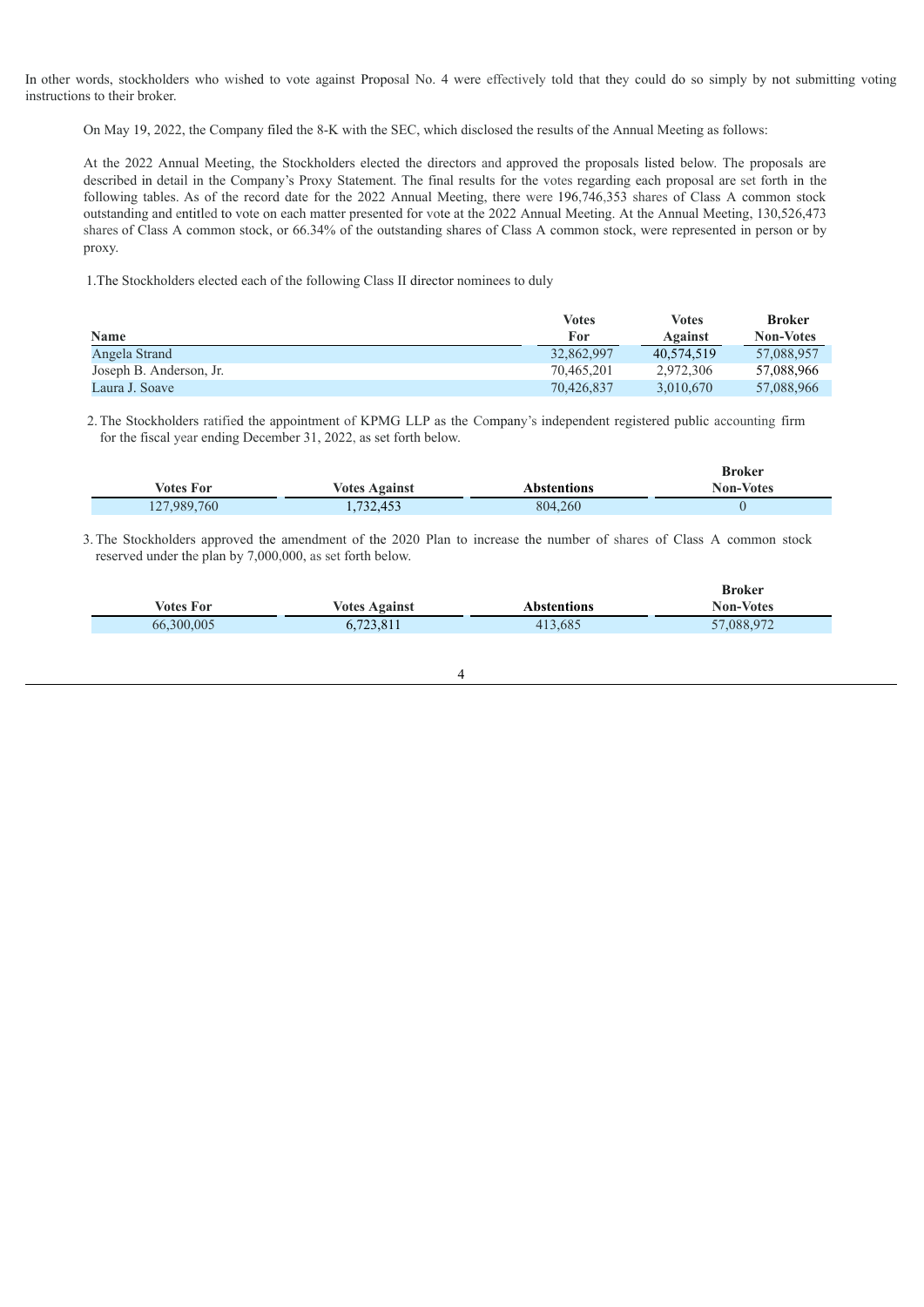In other words, stockholders who wished to vote against Proposal No. 4 were effectively told that they could do so simply by not submitting voting instructions to their broker.

On May 19, 2022, the Company filed the 8-K with the SEC, which disclosed the results of the Annual Meeting as follows:

At the 2022 Annual Meeting, the Stockholders elected the directors and approved the proposals listed below. The proposals are described in detail in the Company's Proxy Statement. The final results for the votes regarding each proposal are set forth in the following tables. As of the record date for the 2022 Annual Meeting, there were 196,746,353 shares of Class A common stock outstanding and entitled to vote on each matter presented for vote at the 2022 Annual Meeting. At the Annual Meeting, 130,526,473 shares of Class A common stock, or 66.34% of the outstanding shares of Class A common stock, were represented in person or by proxy.

1.The Stockholders elected each of the following Class II director nominees to duly

|                         | Votes      | <b>Votes</b> | <b>Broker</b>    |
|-------------------------|------------|--------------|------------------|
| <b>Name</b>             | <b>For</b> | Against      | <b>Non-Votes</b> |
| Angela Strand           | 32,862,997 | 40.574.519   | 57.088.957       |
| Joseph B. Anderson, Jr. | 70.465.201 | 2.972.306    | 57,088,966       |
| Laura J. Soave          | 70.426.837 | 3.010.670    | 57,088,966       |

2.The Stockholders ratified the appointment of KPMG LLP as the Company's independent registered public accounting firm for the fiscal year ending December 31, 2022, as set forth below.

|                  |                      |             | <b>Broker</b>    |
|------------------|----------------------|-------------|------------------|
| <b>Votes For</b> | <b>Votes Against</b> | Abstentions | <b>Non-Votes</b> |
| 127,989,760      | 1,732,453            | 804.260     |                  |

3.The Stockholders approved the amendment of the 2020 Plan to increase the number of shares of Class A common stock reserved under the plan by 7,000,000, as set forth below.

| Votes For  | <b>Votes Against</b> | <b>Abstentions</b> | <b>Broker</b><br><b>Non-Votes</b> |
|------------|----------------------|--------------------|-----------------------------------|
| 66,300,005 | 6,723,811            | 413,685            | 57,088,972                        |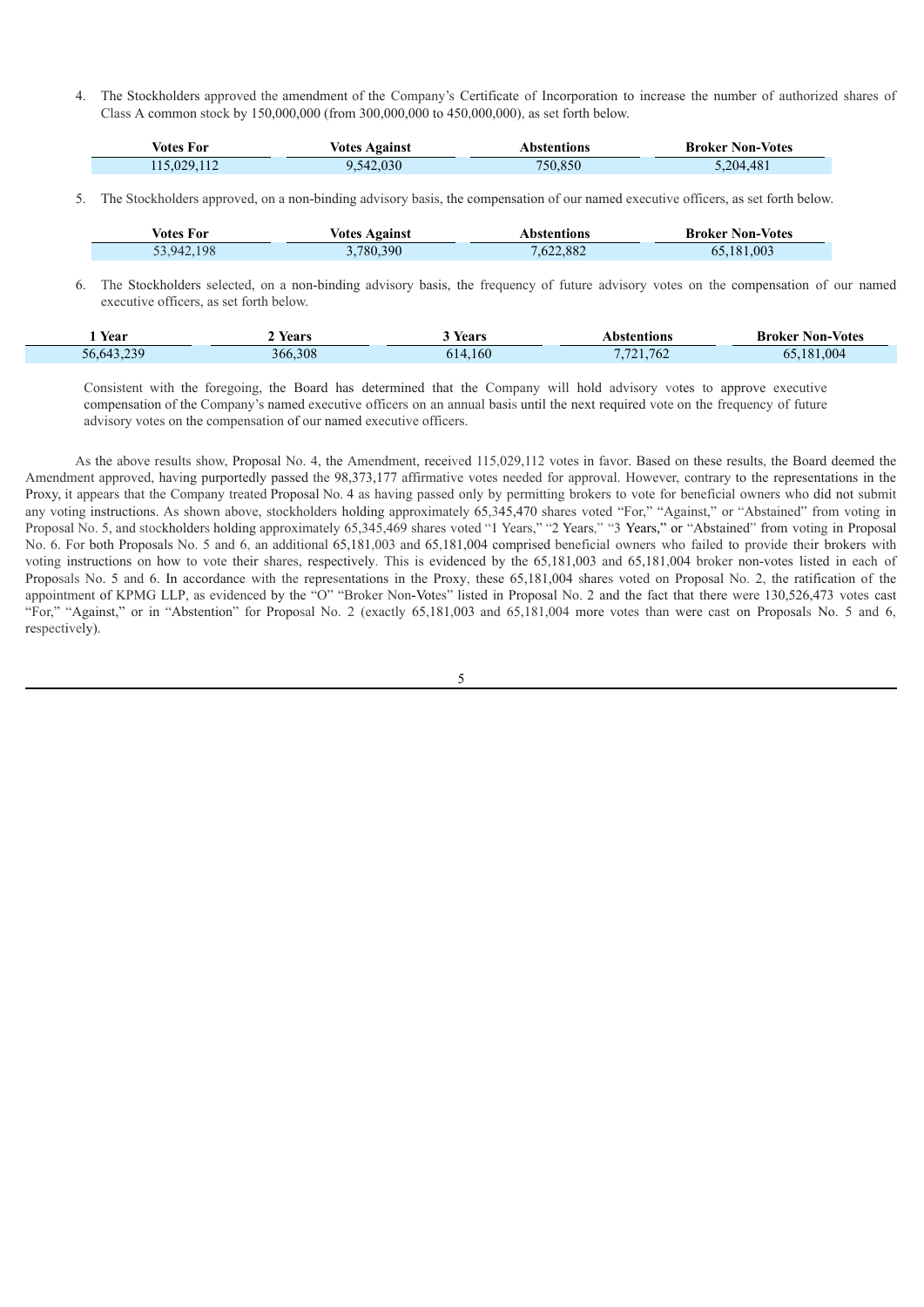4. The Stockholders approved the amendment of the Company's Certificate of Incorporation to increase the number of authorized shares of Class A common stock by 150,000,000 (from 300,000,000 to 450,000,000), as set forth below.

| <b>Votes For</b> | <b>Votes Against</b> | Abstentions | <b>Broker Non-Votes</b> |
|------------------|----------------------|-------------|-------------------------|
| 115,029,112      | 9,542,030            | 750.850     | .204.481                |

5. The Stockholders approved, on a non-binding advisory basis, the compensation of our named executive officers, as set forth below.

Г

| <i>Votes For</i> | <b>Votes Against</b> | Abstentions | <b>Broker Non-Votes</b> |
|------------------|----------------------|-------------|-------------------------|
| 53,942,198       | .780,390             | 7,622,882   | 65.181.003              |

6. The Stockholders selected, on a non-binding advisory basis, the frequency of future advisory votes on the compensation of our named executive officers, as set forth below.

| Year                  | Years<br>. | Years   | <b>Abstentions</b> | Non-Votes<br>Broker |
|-----------------------|------------|---------|--------------------|---------------------|
| 220<br>56.643<br>- 19 | 366.308    | 614.160 | 41.762             | 004<br>101<br>1 X I |

Consistent with the foregoing, the Board has determined that the Company will hold advisory votes to approve executive compensation of the Company's named executive officers on an annual basis until the next required vote on the frequency of future advisory votes on the compensation of our named executive officers.

As the above results show, Proposal No. 4, the Amendment, received 115,029,112 votes in favor. Based on these results, the Board deemed the Amendment approved, having purportedly passed the 98,373,177 affirmative votes needed for approval. However, contrary to the representations in the Proxy, it appears that the Company treated Proposal No. 4 as having passed only by permitting brokers to vote for beneficial owners who did not submit any voting instructions. As shown above, stockholders holding approximately 65,345,470 shares voted "For," "Against," or "Abstained" from voting in Proposal No. 5, and stockholders holding approximately 65,345,469 shares voted "1 Years," "2 Years," "3 Years," or "Abstained" from voting in Proposal No. 6. For both Proposals No. 5 and 6, an additional 65,181,003 and 65,181,004 comprised beneficial owners who failed to provide their brokers with voting instructions on how to vote their shares, respectively. This is evidenced by the 65,181,003 and 65,181,004 broker non-votes listed in each of Proposals No. 5 and 6. In accordance with the representations in the Proxy, these 65,181,004 shares voted on Proposal No. 2, the ratification of the appointment of KPMG LLP, as evidenced by the "O" "Broker Non-Votes" listed in Proposal No. 2 and the fact that there were 130,526,473 votes cast "For," "Against," or in "Abstention" for Proposal No. 2 (exactly 65,181,003 and 65,181,004 more votes than were cast on Proposals No. 5 and 6, respectively).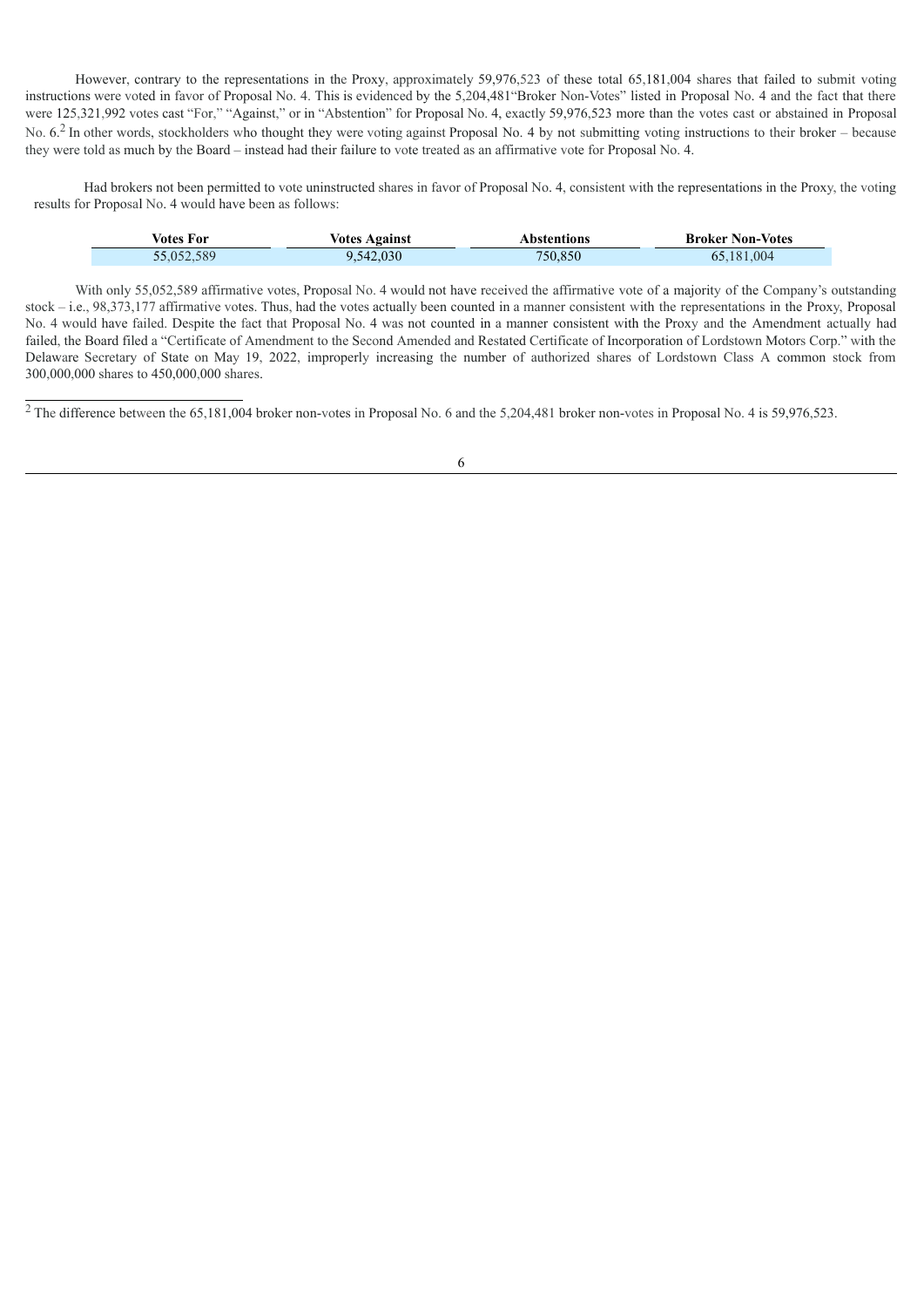However, contrary to the representations in the Proxy, approximately 59,976,523 of these total 65,181,004 shares that failed to submit voting instructions were voted in favor of Proposal No. 4. This is evidenced by the 5,204,481"Broker Non-Votes" listed in Proposal No. 4 and the fact that there were 125,321,992 votes cast "For," "Against," or in "Abstention" for Proposal No. 4, exactly 59,976,523 more than the votes cast or abstained in Proposal No. 6.<sup>2</sup> In other words, stockholders who thought they were voting against Proposal No. 4 by not submitting voting instructions to their broker – because they were told as much by the Board – instead had their failure to vote treated as an affirmative vote for Proposal No. 4.

Had brokers not been permitted to vote uninstructed shares in favor of Proposal No. 4, consistent with the representations in the Proxy, the voting results for Proposal No. 4 would have been as follows:

| Votes For  | <b>Votes Against</b> | Abstentions | <b>Broker Non-Votes</b> |
|------------|----------------------|-------------|-------------------------|
| 55,052,589 | 9,542,030            | 750,850     | 65,181,004              |

With only 55,052,589 affirmative votes, Proposal No. 4 would not have received the affirmative vote of a majority of the Company's outstanding stock – i.e., 98,373,177 affirmative votes. Thus, had the votes actually been counted in a manner consistent with the representations in the Proxy, Proposal No. 4 would have failed. Despite the fact that Proposal No. 4 was not counted in a manner consistent with the Proxy and the Amendment actually had failed, the Board filed a "Certificate of Amendment to the Second Amended and Restated Certificate of Incorporation of Lordstown Motors Corp." with the Delaware Secretary of State on May 19, 2022, improperly increasing the number of authorized shares of Lordstown Class A common stock from 300,000,000 shares to 450,000,000 shares.

 $\frac{1}{2}$ The difference between the 65,181,004 broker non-votes in Proposal No. 6 and the 5,204,481 broker non-votes in Proposal No. 4 is 59,976,523.